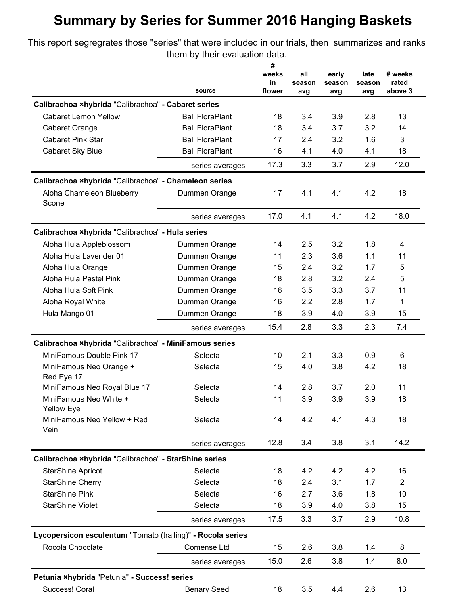## **Summary by Series for Summer 2016 Hanging Baskets**

This report segregrates those "series" that were included in our trials, then summarizes and ranks them by their evaluation data.

|                                                                |                        | #<br>weeks<br>in | all<br>season | early<br>season | late<br>season | # weeks<br>rated |
|----------------------------------------------------------------|------------------------|------------------|---------------|-----------------|----------------|------------------|
|                                                                | source                 | flower           | avg           | avg             | avg            | above 3          |
| Calibrachoa xhybrida "Calibrachoa" - Cabaret series            |                        |                  |               |                 |                |                  |
| <b>Cabaret Lemon Yellow</b>                                    | <b>Ball FloraPlant</b> | 18               | 3.4           | 3.9             | 2.8            | 13               |
| Cabaret Orange                                                 | <b>Ball FloraPlant</b> | 18               | 3.4           | 3.7             | 3.2            | 14               |
| <b>Cabaret Pink Star</b>                                       | <b>Ball FloraPlant</b> | 17               | 2.4           | 3.2             | 1.6            | 3                |
| Cabaret Sky Blue                                               | <b>Ball FloraPlant</b> | 16               | 4.1           | 4.0             | 4.1            | 18               |
|                                                                | series averages        | 17.3             | 3.3           | 3.7             | 2.9            | 12.0             |
| Calibrachoa xhybrida "Calibrachoa" - Chameleon series          |                        |                  |               |                 |                |                  |
| Aloha Chameleon Blueberry<br>Scone                             | Dummen Orange          | 17               | 4.1           | 4.1             | 4.2            | 18               |
|                                                                | series averages        | 17.0             | 4.1           | 4.1             | 4.2            | 18.0             |
| Calibrachoa ×hybrida "Calibrachoa" - Hula series               |                        |                  |               |                 |                |                  |
| Aloha Hula Appleblossom                                        | Dummen Orange          | 14               | 2.5           | 3.2             | 1.8            | 4                |
| Aloha Hula Lavender 01                                         | Dummen Orange          | 11               | 2.3           | 3.6             | 1.1            | 11               |
| Aloha Hula Orange                                              | Dummen Orange          | 15               | 2.4           | 3.2             | 1.7            | 5                |
| Aloha Hula Pastel Pink                                         | Dummen Orange          | 18               | 2.8           | 3.2             | 2.4            | 5                |
| Aloha Hula Soft Pink                                           | Dummen Orange          | 16               | 3.5           | 3.3             | 3.7            | 11               |
| Aloha Royal White                                              | Dummen Orange          | 16               | 2.2           | 2.8             | 1.7            | 1                |
| Hula Mango 01                                                  | Dummen Orange          | 18               | 3.9           | 4.0             | 3.9            | 15               |
|                                                                | series averages        | 15.4             | 2.8           | 3.3             | 2.3            | 7.4              |
| Calibrachoa ×hybrida "Calibrachoa" - MiniFamous series         |                        |                  |               |                 |                |                  |
| MiniFamous Double Pink 17                                      | Selecta                | 10               | 2.1           | 3.3             | 0.9            | 6                |
| MiniFamous Neo Orange +                                        | Selecta                | 15               | 4.0           | 3.8             | 4.2            | 18               |
| Red Eye 17                                                     |                        |                  |               |                 |                |                  |
| MiniFamous Neo Royal Blue 17                                   | Selecta                | 14               | 2.8           | 3.7             | 2.0            | 11               |
| MiniFamous Neo White +<br><b>Yellow Eye</b>                    | Selecta                | 11               | 3.9           | 3.9             | 3.9            | 18               |
| MiniFamous Neo Yellow + Red<br>Vein                            | Selecta                | 14               | 4.2           | 4.1             | 4.3            | 18               |
|                                                                | series averages        | 12.8             | 3.4           | 3.8             | 3.1            | 14.2             |
| Calibrachoa xhybrida "Calibrachoa" - StarShine series          |                        |                  |               |                 |                |                  |
| <b>StarShine Apricot</b>                                       | Selecta                | 18               | 4.2           | 4.2             | 4.2            | 16               |
| <b>StarShine Cherry</b>                                        | Selecta                | 18               | 2.4           | 3.1             | 1.7            | $\overline{2}$   |
| <b>StarShine Pink</b>                                          | Selecta                | 16               | 2.7           | 3.6             | 1.8            | 10               |
| <b>StarShine Violet</b>                                        | Selecta                | 18               | 3.9           | 4.0             | 3.8            | 15               |
|                                                                | series averages        | 17.5             | 3.3           | 3.7             | 2.9            | 10.8             |
| Lycopersicon esculentum "Tomato (trailing)" - Rocola series    |                        |                  |               |                 |                |                  |
| Rocola Chocolate                                               | Comense Ltd            | 15               | 2.6           | 3.8             | 1.4            | 8                |
|                                                                | series averages        | 15.0             | 2.6           | 3.8             | 1.4            | 8.0              |
|                                                                |                        |                  |               |                 |                |                  |
| Petunia ×hybrida "Petunia" - Success! series<br>Success! Coral | <b>Benary Seed</b>     | 18               | 3.5           | 4.4             | 2.6            | 13               |
|                                                                |                        |                  |               |                 |                |                  |